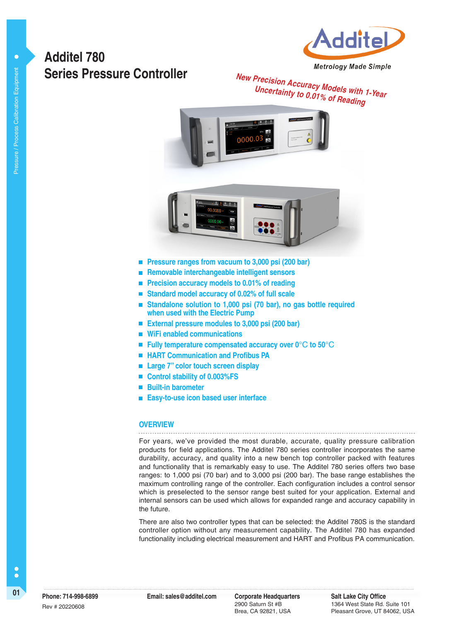



**Metrology Made Simple** 

# **New Precision Accuracy Models with 1-Year Uncertainty to 0.01% of Reading**





- **Pressure ranges from vacuum to 3,000 psi (200 bar)**
- **Removable interchangeable intelligent sensors**
- Precision accuracy models to 0.01% of reading
- **Standard model accuracy of 0.02% of full scale**
- **Standalone solution to 1,000 psi (70 bar), no gas bottle required when used with the Electric Pump**
- **External pressure modules to 3,000 psi (200 bar)**
- **WiFi enabled communications**
- Fully temperature compensated accuracy over 0<sup>°</sup>C to 50<sup>°</sup>C
- **HART Communication and Profibus PA**
- Large 7" color touch screen display
- Control stability of 0.003%FS
- **Built-in barometer**
- **Easy-to-use icon based user interface**

#### **OVERVIEW**

For years, we've provided the most durable, accurate, quality pressure calibration products for field applications. The Additel 780 series controller incorporates the same durability, accuracy, and quality into a new bench top controller packed with features and functionality that is remarkably easy to use. The Additel 780 series offers two base ranges: to 1,000 psi (70 bar) and to 3,000 psi (200 bar). The base range establishes the maximum controlling range of the controller. Each configuration includes a control sensor which is preselected to the sensor range best suited for your application. External and internal sensors can be used which allows for expanded range and accuracy capability in the future.

There are also two controller types that can be selected: the Additel 780S is the standard controller option without any measurement capability. The Additel 780 has expanded functionality including electrical measurement and HART and Profibus PA communication.

 $\bullet$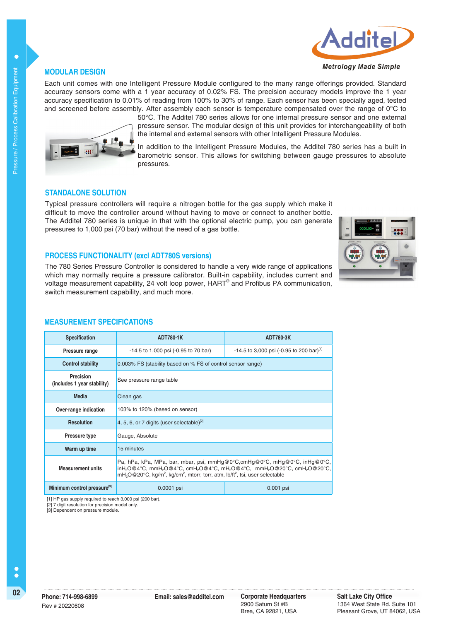# idit **Metrology Made Simple**

### **MODULAR DESIGN**

Each unit comes with one Intelligent Pressure Module configured to the many range offerings provided. Standard accuracy sensors come with a 1 year accuracy of 0.02% FS. The precision accuracy models improve the 1 year accuracy specification to 0.01% of reading from 100% to 30% of range. Each sensor has been specially aged, tested and screened before assembly. After assembly each sensor is temperature compensated over the range of 0°C to



50°C. The Additel 780 series allows for one internal pressure sensor and one external pressure sensor. The modular design of this unit provides for interchangeability of both the internal and external sensors with other Intelligent Pressure Modules.

In addition to the Intelligent Pressure Modules, the Additel 780 series has a built in barometric sensor. This allows for switching between gauge pressures to absolute pressures.

### **STANDALONE SOLUTION**

Typical pressure controllers will require a nitrogen bottle for the gas supply which make it difficult to move the controller around without having to move or connect to another bottle. The Additel 780 series is unique in that with the optional electric pump, you can generate pressures to 1,000 psi (70 bar) without the need of a gas bottle.



#### **PROCESS FUNCTIONALITY (excl ADT780S versions)**

The 780 Series Pressure Controller is considered to handle a very wide range of applications which may normally require a pressure calibrator. Built-in capability, includes current and voltage measurement capability, 24 volt loop power, HART<sup>®</sup> and Profibus PA communication, switch measurement capability, and much more.

#### **MEASUREMENT SPECIFICATIONS**

| <b>Specification</b>                     | <b>ADT780-1K</b>                                                                                                                                                                                                                                                               | ADT780-3K                                              |  |  |  |
|------------------------------------------|--------------------------------------------------------------------------------------------------------------------------------------------------------------------------------------------------------------------------------------------------------------------------------|--------------------------------------------------------|--|--|--|
| Pressure range                           | $-14.5$ to 1,000 psi ( $-0.95$ to 70 bar)                                                                                                                                                                                                                                      | $-14.5$ to 3,000 psi (-0.95 to 200 bar) <sup>[1]</sup> |  |  |  |
| <b>Control stability</b>                 | 0.003% FS (stability based on % FS of control sensor range)                                                                                                                                                                                                                    |                                                        |  |  |  |
| Precision<br>(includes 1 year stability) | See pressure range table                                                                                                                                                                                                                                                       |                                                        |  |  |  |
| Media                                    | Clean gas                                                                                                                                                                                                                                                                      |                                                        |  |  |  |
| Over-range indication                    | 103% to 120% (based on sensor)                                                                                                                                                                                                                                                 |                                                        |  |  |  |
| <b>Resolution</b>                        | 4, 5, 6, or 7 digits (user selectable) $^{[2]}$                                                                                                                                                                                                                                |                                                        |  |  |  |
| <b>Pressure type</b>                     | Gauge, Absolute                                                                                                                                                                                                                                                                |                                                        |  |  |  |
| Warm up time                             | 15 minutes                                                                                                                                                                                                                                                                     |                                                        |  |  |  |
| <b>Measurement units</b>                 | Pa, hPa, kPa, MPa, bar, mbar, psi, mmHq@0°C,cmHq@0°C, mHq@0°C, inHq@0°C,<br>inH,O@4°C, mmH,O@4°C, cmH,O@4°C, mH,O@4°C, mmH,O@20°C, cmH,O@20°C,<br>mH <sub>2</sub> O@20°C, kg/m <sup>2</sup> , kg/cm <sup>2</sup> , mtorr, torr, atm, lb/ft <sup>2</sup> , tsi, user selectable |                                                        |  |  |  |
| Minimum control pressure <sup>[3]</sup>  | 0.0001 psi<br>$0.001$ psi                                                                                                                                                                                                                                                      |                                                        |  |  |  |

[1] HP gas supply required to reach 3,000 psi (200 bar).

.<br>[2] 7 digit resolution for precision model only.

[3] Dependent on pressure module.

 $\bullet$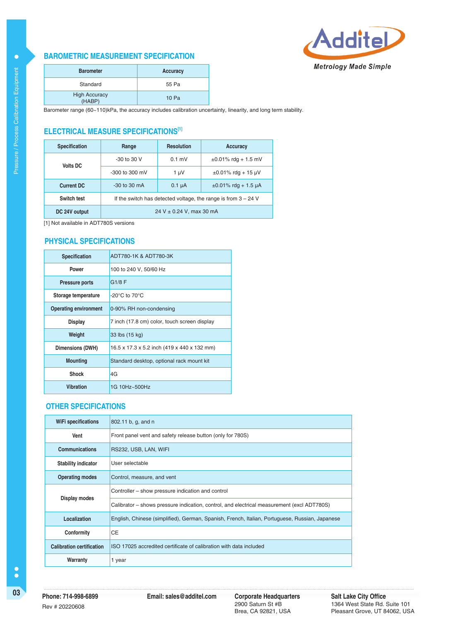#### **BAROMETRIC MEASUREMENT SPECIFICATION**



| <b>Barometer</b>               | Accuracy |
|--------------------------------|----------|
| Standard                       | 55 Pa    |
| <b>High Accuracy</b><br>(HABP) | 10 Pa    |

Barometer range (60~110)kPa, the accuracy includes calibration uncertainty, linearity, and long term stability.

## **ELECTRICAL MEASURE SPECIFICATIONS[1]**

| <b>Specification</b> | Range                                                            | <b>Resolution</b> | <b>Accuracy</b>           |  |  |
|----------------------|------------------------------------------------------------------|-------------------|---------------------------|--|--|
| <b>Volts DC</b>      | $-30$ to $30$ V                                                  | $0.1$ mV          | $\pm 0.01\%$ rdg + 1.5 mV |  |  |
|                      | $-300$ to 300 mV                                                 | 1 µV              | $\pm 0.01\%$ rdg + 15 µV  |  |  |
| Current DC           | $-30$ to 30 mA                                                   | $0.1 \mu A$       | $\pm 0.01\%$ rdg + 1.5 µA |  |  |
| Switch test          | If the switch has detected voltage, the range is from $3 - 24$ V |                   |                           |  |  |
| DC 24V output        | 24 V $\pm$ 0.24 V, max 30 mA                                     |                   |                           |  |  |

[1] Not available in ADT780S versions

#### **PHYSICAL SPECIFICATIONS**

| <b>Specification</b>         | ADT780-1K & ADT780-3K                        |
|------------------------------|----------------------------------------------|
| Power                        | 100 to 240 V, 50/60 Hz                       |
| <b>Pressure ports</b>        | G1/8F                                        |
| Storage temperature          | -20 $\rm{^{\circ}C}$ to 70 $\rm{^{\circ}C}$  |
| <b>Operating environment</b> | 0-90% RH non-condensing                      |
| <b>Display</b>               | 7 inch (17.8 cm) color, touch screen display |
| Weight                       | 33 lbs (15 kg)                               |
| Dimensions (DWH)             | 16.5 x 17.3 x 5.2 inch (419 x 440 x 132 mm)  |
| <b>Mounting</b>              | Standard desktop, optional rack mount kit    |
| <b>Shock</b>                 | 4G                                           |
| <b>Vibration</b>             | 1G 10Hz~500Hz                                |

### **OTHER SPECIFICATIONS**

| WiFi specifications              | 802.11 b, g, and n                                                                             |  |  |
|----------------------------------|------------------------------------------------------------------------------------------------|--|--|
| Vent                             | Front panel vent and safety release button (only for 780S)                                     |  |  |
| <b>Communications</b>            | RS232, USB, LAN, WIFI                                                                          |  |  |
| <b>Stability indicator</b>       | User selectable                                                                                |  |  |
| <b>Operating modes</b>           | Control, measure, and vent                                                                     |  |  |
| Display modes                    | Controller – show pressure indication and control                                              |  |  |
|                                  | Calibrator – shows pressure indication, control, and electrical measurement (excl ADT780S)     |  |  |
| Localization                     | English, Chinese (simplified), German, Spanish, French, Italian, Portuguese, Russian, Japanese |  |  |
| Conformity                       | <b>CE</b>                                                                                      |  |  |
| <b>Calibration certification</b> | ISO 17025 accredited certificate of calibration with data included                             |  |  |
| Warranty                         | 1 year                                                                                         |  |  |

 $\bullet$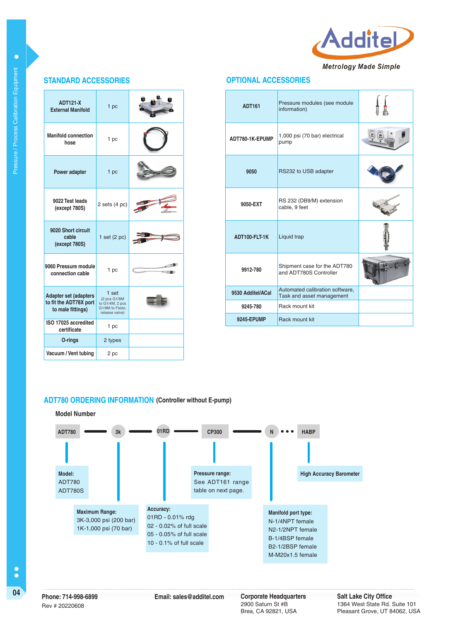

### **OPTIONAL ACCESSORIES**

| <b>ADT121-X</b><br><b>External Manifold</b>                                 | 1 pc                                                                          |  |
|-----------------------------------------------------------------------------|-------------------------------------------------------------------------------|--|
| <b>Manifold connection</b><br>hose                                          | 1 pc                                                                          |  |
| <b>Power adapter</b>                                                        | 1 pc                                                                          |  |
| 9022 Test leads<br>(except 780S)                                            | $2$ sets $(4$ pc)                                                             |  |
| 9020 Short circuit<br>cable<br>(except 780S)                                | 1 set $(2 pc)$                                                                |  |
| 9060 Pressure module<br>connection cable                                    | 1 pc                                                                          |  |
| <b>Adapter set (adapters</b><br>to fit the ADT78X port<br>to male fittings) | 1 set<br>(2 pcs G1/8M<br>to G1/4M, 2 pcs<br>G1/8M to Festo.<br>release valve) |  |
| ISO 17025 accredited<br>certificate                                         | 1 pc                                                                          |  |
| O-rings                                                                     | 2 types                                                                       |  |
| Vacuum / Vent tubing                                                        | 2 pc                                                                          |  |

**STANDARD ACCESSORIES**

| <b>ADT161</b>     | Pressure modules (see module<br>information)                 |  |  |
|-------------------|--------------------------------------------------------------|--|--|
| ADT780-1K-EPUMP   | 1,000 psi (70 bar) electrical<br>pump                        |  |  |
| 9050              | RS232 to USB adapter                                         |  |  |
| 9050-EXT          | RS 232 (DB9/M) extension<br>cable, 9 feet                    |  |  |
| ADT100-FLT-1K     | Liquid trap                                                  |  |  |
| 9912-780          | Shipment case for the ADT780<br>and ADT780S Controller       |  |  |
| 9530 Additel/ACal | Automated calibration software,<br>Task and asset management |  |  |
| 9245-780          | Rack mount kit                                               |  |  |
| <b>9245-EPUMP</b> | Rack mount kit                                               |  |  |

#### **ADT780 ORDERING INFORMATION (Controller without E-pump)**



 $\bullet$ 

Rev # 20220608

**04 Corporate Headquarters**<br> **Email: sales@additel.com** Corporate Headquarters 2900 Saturn St #B Brea, CA 92821, USA

**Salt Lake City Office** 1364 West State Rd. Suite 101 Pleasant Grove, UT 84062, USA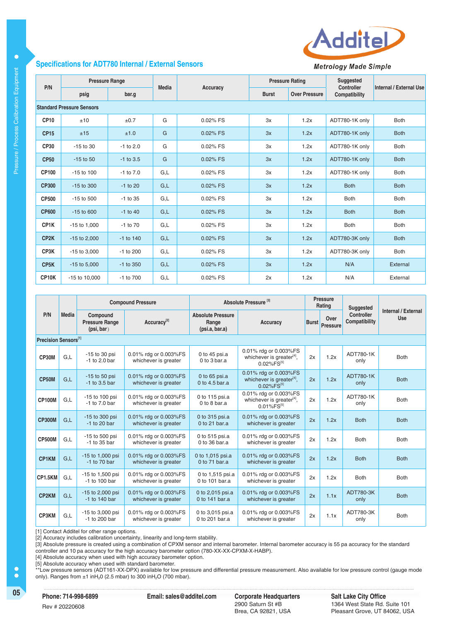

**Metrology Made Simple** 

| P/N               | <b>Pressure Range</b>            |               | <b>Media</b> |          | <b>Pressure Rating</b> |                      | Suggested<br><b>Controller</b> | Internal / External Use |
|-------------------|----------------------------------|---------------|--------------|----------|------------------------|----------------------|--------------------------------|-------------------------|
|                   | psig                             | bar.g         |              | Accuracy | <b>Burst</b>           | <b>Over Pressure</b> | Compatibility                  |                         |
|                   | <b>Standard Pressure Sensors</b> |               |              |          |                        |                      |                                |                         |
| CP <sub>10</sub>  | ±10                              | ±0.7          | G            | 0.02% FS | 3x                     | 1.2x                 | ADT780-1K only                 | <b>Both</b>             |
| <b>CP15</b>       | ±15                              | ±1.0          | G            | 0.02% FS | 3x                     | 1.2x                 | ADT780-1K only                 | <b>Both</b>             |
| <b>CP30</b>       | $-15$ to 30                      | $-1$ to 2.0   | G            | 0.02% FS | 3x                     | 1.2x                 | ADT780-1K only                 | <b>Both</b>             |
| <b>CP50</b>       | $-15$ to $50$                    | $-1$ to 3.5   | G            | 0.02% FS | 3x                     | 1.2x                 | ADT780-1K only                 | <b>Both</b>             |
| CP100             | $-15$ to $100$                   | $-1$ to $7.0$ | G,L          | 0.02% FS | 3x                     | 1.2x                 | ADT780-1K only                 | <b>Both</b>             |
| <b>CP300</b>      | $-15$ to 300                     | $-1$ to 20    | G,L          | 0.02% FS | 3x                     | 1.2x                 | <b>Both</b>                    | <b>Both</b>             |
| <b>CP500</b>      | $-15$ to $500$                   | $-1$ to 35    | G,L          | 0.02% FS | 3x                     | 1.2x                 | <b>Both</b>                    | <b>Both</b>             |
| <b>CP600</b>      | $-15$ to 600                     | $-1$ to 40    | G,L          | 0.02% FS | 3x                     | 1.2x                 | <b>Both</b>                    | <b>Both</b>             |
| CP1K              | $-15$ to $1,000$                 | $-1$ to $70$  | G,L          | 0.02% FS | 3x                     | 1.2x                 | <b>Both</b>                    | <b>Both</b>             |
| CP <sub>2</sub> K | $-15$ to 2,000                   | $-1$ to 140   | G,L          | 0.02% FS | 3x                     | 1.2x                 | ADT780-3K only                 | <b>Both</b>             |
| CP3K              | $-15$ to 3,000                   | $-1$ to 200   | G,L          | 0.02% FS | 3x                     | 1.2x                 | ADT780-3K only                 | <b>Both</b>             |
| CP <sub>5</sub> K | $-15$ to $5,000$                 | $-1$ to 350   | G,L          | 0.02% FS | 3x                     | 1.2x                 | N/A                            | External                |
| CP10K             | -15 to 10,000                    | $-1$ to $700$ | G,L          | 0.02% FS | 2x                     | 1.2x                 | N/A                            | External                |

|                      |              | <b>Compound Pressure</b>                        |                                               | Absolute Pressure <sup>[3]</sup>                    |                                                                                              |              | <b>Pressure</b><br>Rating | Suggested                   |                            |
|----------------------|--------------|-------------------------------------------------|-----------------------------------------------|-----------------------------------------------------|----------------------------------------------------------------------------------------------|--------------|---------------------------|-----------------------------|----------------------------|
| P/N                  | <b>Media</b> | Compound<br><b>Pressure Range</b><br>(psi, bar) | Accuracy <sup>[2]</sup>                       | <b>Absolute Pressure</b><br>Range<br>(psi.a, bar.a) | Accuracy                                                                                     | <b>Burst</b> | Over<br>Pressure          | Controller<br>Compatibility | Internal / External<br>Use |
| Precision Sensors[1] |              |                                                 |                                               |                                                     |                                                                                              |              |                           |                             |                            |
| CP30M                | GL           | $-15$ to 30 psi<br>$-1$ to 2.0 bar              | 0.01% rdg or 0.003%FS<br>whichever is greater | 0 to 45 psi.a<br>0 to 3 bar.a                       | 0.01% rdg or 0.003%FS<br>whichever is greater <sup>[4]</sup> ,<br>$0.02\%$ FS <sup>[5]</sup> | 2x           | 1.2x                      | ADT780-1K<br>only           | <b>Both</b>                |
| CP50M                | G,L          | $-15$ to 50 psi<br>$-1$ to 3.5 bar              | 0.01% rdg or 0.003%FS<br>whichever is greater | 0 to $65$ psi.a<br>0 to 4.5 bar.a                   | 0.01% rdg or 0.003%FS<br>whichever is greater <sup>[4]</sup> .<br>$0.02\%$ FS <sup>[5]</sup> | 2x           | 1.2x                      | ADT780-1K<br>only           | <b>Both</b>                |
| <b>CP100M</b>        | G.L          | -15 to 100 psi<br>$-1$ to $7.0$ bar             | 0.01% rdg or 0.003%FS<br>whichever is greater | 0 to 115 psi.a<br>0 to 8 bar.a                      | 0.01% rdg or 0.003%FS<br>whichever is greater <sup>[4]</sup> ,<br>$0.01\%$ FS <sup>[5]</sup> | 2x           | 1.2x                      | ADT780-1K<br>only           | <b>Both</b>                |
| <b>CP300M</b>        | G,L          | -15 to 300 psi<br>$-1$ to 20 bar                | 0.01% rdg or 0.003%FS<br>whichever is greater | 0 to 315 psi.a<br>0 to 21 bar.a                     | 0.01% rdg or 0.003%FS<br>whichever is greater                                                | 2x           | 1.2x                      | <b>Both</b>                 | <b>Both</b>                |
| <b>CP500M</b>        | G.L          | -15 to 500 psi<br>-1 to 35 bar                  | 0.01% rdg or 0.003%FS<br>whichever is greater | 0 to 515 psi.a<br>0 to 36 bar.a                     | 0.01% rdg or 0.003%FS<br>whichever is greater                                                | 2x           | 1.2x                      | <b>Both</b>                 | <b>Both</b>                |
| <b>CP1KM</b>         | G,L          | -15 to 1,000 psi<br>$-1$ to 70 bar              | 0.01% rdg or 0.003%FS<br>whichever is greater | 0 to 1,015 psi.a<br>0 to $71$ bar.a                 | 0.01% rdg or 0.003%FS<br>whichever is greater                                                | 2x           | 1.2x                      | <b>Both</b>                 | <b>Both</b>                |
| CP1.5KM              | G.L          | -15 to 1,500 psi<br>-1 to 100 bar               | 0.01% rdg or 0.003%FS<br>whichever is greater | 0 to 1,515 psi.a<br>0 to 101 bar.a                  | 0.01% rdg or 0.003%FS<br>whichever is greater                                                | 2x           | 1.2x                      | <b>Both</b>                 | <b>Both</b>                |
| CP2KM                | G,L          | -15 to 2,000 psi<br>-1 to 140 bar               | 0.01% rdg or 0.003%FS<br>whichever is greater | 0 to 2,015 psi.a<br>0 to 141 bar.a                  | 0.01% rdg or 0.003%FS<br>whichever is greater                                                | 2x           | 1.1x                      | ADT780-3K<br>only           | <b>Both</b>                |
| CP3KM                | G.L          | -15 to 3,000 psi<br>-1 to 200 bar               | 0.01% rdg or 0.003%FS<br>whichever is greater | 0 to 3,015 psi.a<br>0 to 201 bar.a                  | 0.01% rdg or 0.003%FS<br>whichever is greater                                                | 2x           | 1.1x                      | ADT780-3K<br>only           | <b>Both</b>                |

[1] Contact Additel for other range options.

[2] Accuracy includes calibration uncertainty, linearity and long-term stability.

[3] Absolute pressure is created using a combination of CPXM sensor and internal barometer. Internal barometer accuracy is 55 pa accuracy for the standard controller and 10 pa accuracy for the high accuracy barometer option (780-XX-XX-CPXM-X-HABP).

[4] Absolute accuracy when used with high accuracy barometer option.

**Specifications for ADT780 Internal / External Sensors**

[5] Absolute accuracy when used with standard barometer.

\*\*Low pressure sensors (ADT161-XX-DPX) available for low pressure and differential pressure measurement. Also available for low pressure control (gauge mode only). Ranges from  $\pm 1$  inH<sub>2</sub>O (2.5 mbar) to 300 inH<sub>2</sub>O (700 mbar).

Pressure / Process Calibration Equipment Pressure / Process Calibration Equipment

 $\bullet$ 

 $\bullet$ 

 $\bullet$ 

2900 Saturn St #B Brea, CA 92821, USA